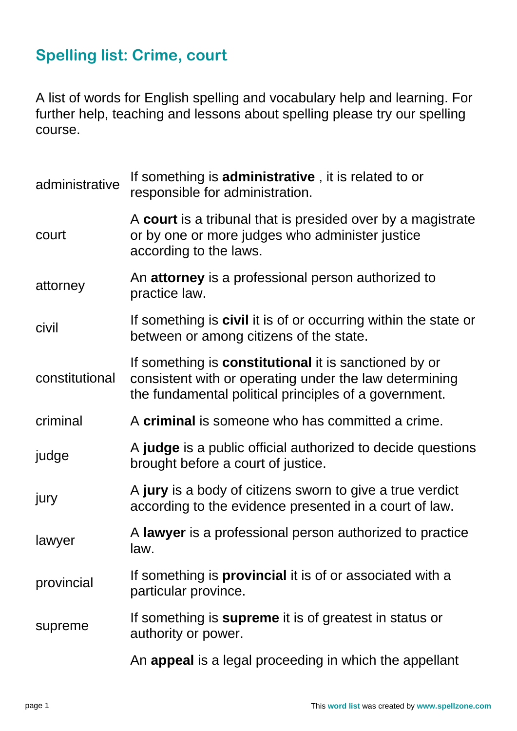## **Spelling list: Crime, court**

A list of words for English spelling and vocabulary help and learning. For further help, teaching and lessons about spelling please try our spelling course.

| administrative | If something is <b>administrative</b> , it is related to or<br>responsible for administration.                                                                                  |  |  |
|----------------|---------------------------------------------------------------------------------------------------------------------------------------------------------------------------------|--|--|
| court          | A court is a tribunal that is presided over by a magistrate<br>or by one or more judges who administer justice<br>according to the laws.                                        |  |  |
| attorney       | An attorney is a professional person authorized to<br>practice law.                                                                                                             |  |  |
| civil          | If something is <b>civil</b> it is of or occurring within the state or<br>between or among citizens of the state.                                                               |  |  |
| constitutional | If something is <b>constitutional</b> it is sanctioned by or<br>consistent with or operating under the law determining<br>the fundamental political principles of a government. |  |  |
| criminal       | A criminal is someone who has committed a crime.                                                                                                                                |  |  |
| judge          | A <b>judge</b> is a public official authorized to decide questions<br>brought before a court of justice.                                                                        |  |  |
| jury           | A jury is a body of citizens sworn to give a true verdict<br>according to the evidence presented in a court of law.                                                             |  |  |
| lawyer         | A lawyer is a professional person authorized to practice<br>law.                                                                                                                |  |  |
| provincial     | If something is <b>provincial</b> it is of or associated with a<br>particular province.                                                                                         |  |  |
| supreme        | If something is <b>supreme</b> it is of greatest in status or<br>authority or power.                                                                                            |  |  |
|                | An appeal is a legal proceeding in which the appellant                                                                                                                          |  |  |